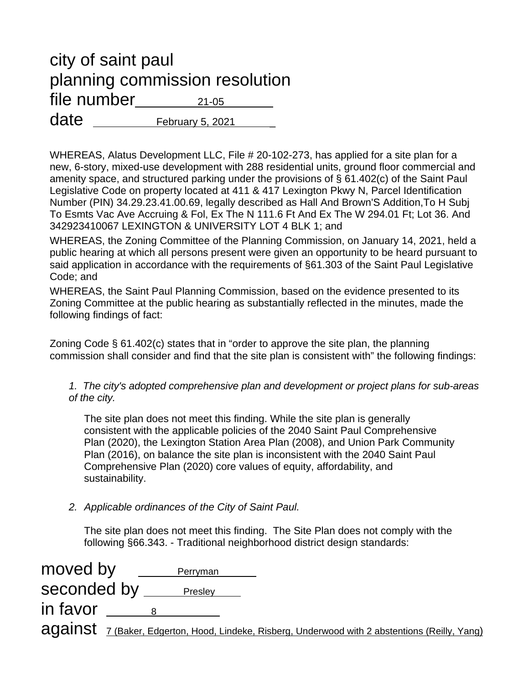## city of saint paul planning commission resolution  $file$  number  $21-05$  $date \_\_\_\_Februar_5, 2021$

WHEREAS, Alatus Development LLC, File # 20-102-273, has applied for a site plan for a new, 6-story, mixed-use development with 288 residential units, ground floor commercial and amenity space, and structured parking under the provisions of § 61.402(c) of the Saint Paul Legislative Code on property located at 411 & 417 Lexington Pkwy N, Parcel Identification Number (PIN) 34.29.23.41.00.69, legally described as Hall And Brown'S Addition,To H Subj To Esmts Vac Ave Accruing & Fol, Ex The N 111.6 Ft And Ex The W 294.01 Ft; Lot 36. And 342923410067 LEXINGTON & UNIVERSITY LOT 4 BLK 1; and

WHEREAS, the Zoning Committee of the Planning Commission, on January 14, 2021, held a public hearing at which all persons present were given an opportunity to be heard pursuant to said application in accordance with the requirements of §61.303 of the Saint Paul Legislative Code; and

WHEREAS, the Saint Paul Planning Commission, based on the evidence presented to its Zoning Committee at the public hearing as substantially reflected in the minutes, made the following findings of fact:

Zoning Code § 61.402(c) states that in "order to approve the site plan, the planning commission shall consider and find that the site plan is consistent with" the following findings:

*1. The city's adopted comprehensive plan and development or project plans for sub-areas of the city.* 

The site plan does not meet this finding. While the site plan is generally consistent with the applicable policies of the 2040 Saint Paul Comprehensive Plan (2020), the Lexington Station Area Plan (2008), and Union Park Community Plan (2016), on balance the site plan is inconsistent with the 2040 Saint Paul Comprehensive Plan (2020) core values of equity, affordability, and sustainability.

*2. Applicable ordinances of the City of Saint Paul.*

The site plan does not meet this finding. The Site Plan does not comply with the following §66.343. - Traditional neighborhood district design standards:

| moved by                                                                                        |  | Perryman |  |  |  |  |  |
|-------------------------------------------------------------------------------------------------|--|----------|--|--|--|--|--|
| seconded by ___                                                                                 |  | Presley  |  |  |  |  |  |
| in favor                                                                                        |  |          |  |  |  |  |  |
| against 7 (Baker, Edgerton, Hood, Lindeke, Risberg, Underwood with 2 abstentions (Reilly, Yang) |  |          |  |  |  |  |  |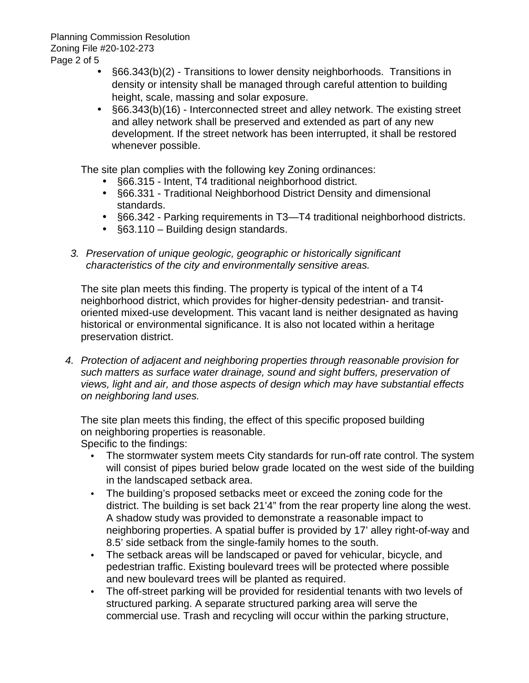- §66.343(b)(2) Transitions to lower density neighborhoods. Transitions in density or intensity shall be managed through careful attention to building height, scale, massing and solar exposure.
- §66.343(b)(16) Interconnected street and alley network. The existing street and alley network shall be preserved and extended as part of any new development. If the street network has been interrupted, it shall be restored whenever possible.

The site plan complies with the following key Zoning ordinances:

- §66.315 Intent, T4 traditional neighborhood district.
- §66.331 Traditional Neighborhood District Density and dimensional standards.
- §66.342 Parking requirements in T3—T4 traditional neighborhood districts.
- §63.110 Building design standards.
- *3. Preservation of unique geologic, geographic or historically significant characteristics of the city and environmentally sensitive areas.*

The site plan meets this finding. The property is typical of the intent of a T4 neighborhood district, which provides for higher-density pedestrian- and transitoriented mixed-use development. This vacant land is neither designated as having historical or environmental significance. It is also not located within a heritage preservation district.

*4. Protection of adjacent and neighboring properties through reasonable provision for such matters as surface water drainage, sound and sight buffers, preservation of views, light and air, and those aspects of design which may have substantial effects on neighboring land uses.*

The site plan meets this finding, the effect of this specific proposed building on neighboring properties is reasonable.

Specific to the findings:

- The stormwater system meets City standards for run-off rate control. The system will consist of pipes buried below grade located on the west side of the building in the landscaped setback area.
- The building's proposed setbacks meet or exceed the zoning code for the district. The building is set back 21'4" from the rear property line along the west. A shadow study was provided to demonstrate a reasonable impact to neighboring properties. A spatial buffer is provided by 17' alley right-of-way and 8.5' side setback from the single-family homes to the south.
- The setback areas will be landscaped or paved for vehicular, bicycle, and pedestrian traffic. Existing boulevard trees will be protected where possible and new boulevard trees will be planted as required.
- The off-street parking will be provided for residential tenants with two levels of structured parking. A separate structured parking area will serve the commercial use. Trash and recycling will occur within the parking structure,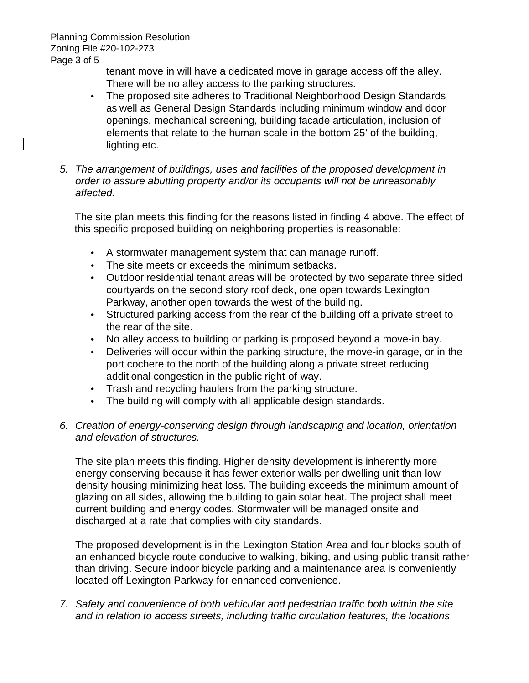Planning Commission Resolution Zoning File #20-102-273 Page 3 of 5

> tenant move in will have a dedicated move in garage access off the alley. There will be no alley access to the parking structures.

- The proposed site adheres to Traditional Neighborhood Design Standards as well as General Design Standards including minimum window and door openings, mechanical screening, building facade articulation, inclusion of elements that relate to the human scale in the bottom 25' of the building, lighting etc.
- *5. The arrangement of buildings, uses and facilities of the proposed development in order to assure abutting property and/or its occupants will not be unreasonably affected.*

The site plan meets this finding for the reasons listed in finding 4 above. The effect of this specific proposed building on neighboring properties is reasonable:

- A stormwater management system that can manage runoff.
- The site meets or exceeds the minimum setbacks.
- Outdoor residential tenant areas will be protected by two separate three sided courtyards on the second story roof deck, one open towards Lexington Parkway, another open towards the west of the building.
- Structured parking access from the rear of the building off a private street to the rear of the site.
- No alley access to building or parking is proposed beyond a move-in bay.
- Deliveries will occur within the parking structure, the move-in garage, or in the port cochere to the north of the building along a private street reducing additional congestion in the public right-of-way.
- Trash and recycling haulers from the parking structure.
- The building will comply with all applicable design standards.
- *6. Creation of energy-conserving design through landscaping and location, orientation and elevation of structures.*

The site plan meets this finding. Higher density development is inherently more energy conserving because it has fewer exterior walls per dwelling unit than low density housing minimizing heat loss. The building exceeds the minimum amount of glazing on all sides, allowing the building to gain solar heat. The project shall meet current building and energy codes. Stormwater will be managed onsite and discharged at a rate that complies with city standards.

The proposed development is in the Lexington Station Area and four blocks south of an enhanced bicycle route conducive to walking, biking, and using public transit rather than driving. Secure indoor bicycle parking and a maintenance area is conveniently located off Lexington Parkway for enhanced convenience.

*7. Safety and convenience of both vehicular and pedestrian traffic both within the site and in relation to access streets, including traffic circulation features, the locations*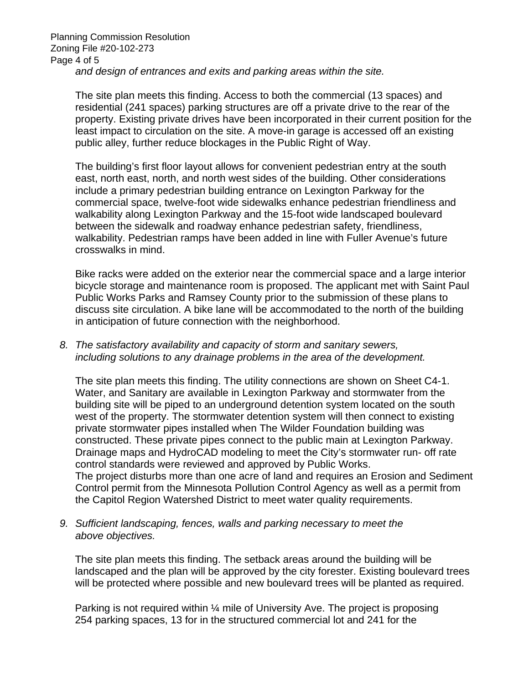Planning Commission Resolution Zoning File #20-102-273 Page 4 of 5 *and design of entrances and exits and parking areas within the site.*

The site plan meets this finding. Access to both the commercial (13 spaces) and residential (241 spaces) parking structures are off a private drive to the rear of the property. Existing private drives have been incorporated in their current position for the least impact to circulation on the site. A move-in garage is accessed off an existing public alley, further reduce blockages in the Public Right of Way.

The building's first floor layout allows for convenient pedestrian entry at the south east, north east, north, and north west sides of the building. Other considerations include a primary pedestrian building entrance on Lexington Parkway for the commercial space, twelve-foot wide sidewalks enhance pedestrian friendliness and walkability along Lexington Parkway and the 15-foot wide landscaped boulevard between the sidewalk and roadway enhance pedestrian safety, friendliness, walkability. Pedestrian ramps have been added in line with Fuller Avenue's future crosswalks in mind.

Bike racks were added on the exterior near the commercial space and a large interior bicycle storage and maintenance room is proposed. The applicant met with Saint Paul Public Works Parks and Ramsey County prior to the submission of these plans to discuss site circulation. A bike lane will be accommodated to the north of the building in anticipation of future connection with the neighborhood.

*8. The satisfactory availability and capacity of storm and sanitary sewers, including solutions to any drainage problems in the area of the development.*

The site plan meets this finding. The utility connections are shown on Sheet C4-1. Water, and Sanitary are available in Lexington Parkway and stormwater from the building site will be piped to an underground detention system located on the south west of the property. The stormwater detention system will then connect to existing private stormwater pipes installed when The Wilder Foundation building was constructed. These private pipes connect to the public main at Lexington Parkway. Drainage maps and HydroCAD modeling to meet the City's stormwater run- off rate control standards were reviewed and approved by Public Works. The project disturbs more than one acre of land and requires an Erosion and Sediment Control permit from the Minnesota Pollution Control Agency as well as a permit from the Capitol Region Watershed District to meet water quality requirements.

*9. Sufficient landscaping, fences, walls and parking necessary to meet the above objectives.*

The site plan meets this finding. The setback areas around the building will be landscaped and the plan will be approved by the city forester. Existing boulevard trees will be protected where possible and new boulevard trees will be planted as required.

Parking is not required within ¼ mile of University Ave. The project is proposing 254 parking spaces, 13 for in the structured commercial lot and 241 for the